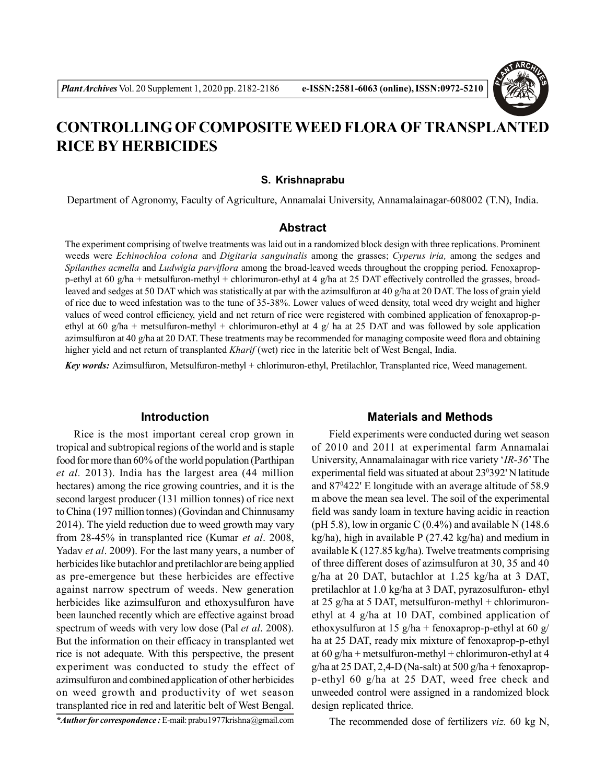

# **CONTROLLING OF COMPOSITE WEED FLORA OF TRANSPLANTED RICE BY HERBICIDES**

#### **S. Krishnaprabu**

Department of Agronomy, Faculty of Agriculture, Annamalai University, Annamalainagar-608002 (T.N), India.

### **Abstract**

The experiment comprising of twelve treatments was laid out in a randomized block design with three replications. Prominent weeds were *Echinochloa colona* and *Digitaria sanguinalis* among the grasses; *Cyperus iria,* among the sedges and *Spilanthes acmella* and *Ludwigia parviflora* among the broad-leaved weeds throughout the cropping period. Fenoxapropp-ethyl at 60 g/ha + metsulfuron-methyl + chlorimuron-ethyl at 4 g/ha at 25 DAT effectively controlled the grasses, broadleaved and sedges at 50 DAT which was statistically at par with the azimsulfuron at 40 g/ha at 20 DAT. The loss of grain yield of rice due to weed infestation was to the tune of 35-38%. Lower values of weed density, total weed dry weight and higher values of weed control efficiency, yield and net return of rice were registered with combined application of fenoxaprop-pethyl at 60 g/ha + metsulfuron-methyl + chlorimuron-ethyl at 4 g/ ha at 25 DAT and was followed by sole application azimsulfuron at 40 g/ha at 20 DAT. These treatments may be recommended for managing composite weed flora and obtaining higher yield and net return of transplanted *Kharif* (wet) rice in the lateritic belt of West Bengal, India.

*Key words:* Azimsulfuron, Metsulfuron-methyl + chlorimuron-ethyl, Pretilachlor, Transplanted rice, Weed management.

#### **Introduction**

Rice is the most important cereal crop grown in tropical and subtropical regions of the world and is staple food for more than 60% of the world population (Parthipan *et al.* 2013). India has the largest area (44 million hectares) among the rice growing countries, and it is the second largest producer (131 million tonnes) of rice next to China (197 million tonnes) (Govindan and Chinnusamy 2014). The yield reduction due to weed growth may vary from 28-45% in transplanted rice (Kumar *et al*. 2008, Yadav *et al*. 2009). For the last many years, a number of herbicides like butachlor and pretilachlor are being applied as pre-emergence but these herbicides are effective against narrow spectrum of weeds. New generation herbicides like azimsulfuron and ethoxysulfuron have been launched recently which are effective against broad spectrum of weeds with very low dose (Pal *et al*. 2008). But the information on their efficacy in transplanted wet rice is not adequate. With this perspective, the present experiment was conducted to study the effect of azimsulfuron and combined application of other herbicides on weed growth and productivity of wet season transplanted rice in red and lateritic belt of West Bengal.

*\*Author for correspondence :* E-mail: prabu1977krishna@gmail.com

#### **Materials and Methods**

Field experiments were conducted during wet season of 2010 and 2011 at experimental farm Annamalai University, Annamalainagar with rice variety '*IR-36*' The experimental field was situated at about 23°392' N latitude and 87<sup>0</sup>422' E longitude with an average altitude of 58.9 m above the mean sea level. The soil of the experimental field was sandy loam in texture having acidic in reaction (pH 5.8), low in organic C  $(0.4\%)$  and available N (148.6) kg/ha), high in available P (27.42 kg/ha) and medium in available K (127.85 kg/ha). Twelve treatments comprising of three different doses of azimsulfuron at 30, 35 and 40 g/ha at 20 DAT, butachlor at 1.25 kg/ha at 3 DAT, pretilachlor at 1.0 kg/ha at 3 DAT, pyrazosulfuron- ethyl at 25 g/ha at 5 DAT, metsulfuron-methyl + chlorimuronethyl at 4 g/ha at 10 DAT, combined application of ethoxysulfuron at 15 g/ha + fenoxaprop-p-ethyl at 60 g/ ha at 25 DAT, ready mix mixture of fenoxaprop-p-ethyl at 60 g/ha + metsulfuron-methyl + chlorimuron-ethyl at 4 g/ha at 25 DAT, 2,4-D (Na-salt) at 500 g/ha + fenoxapropp-ethyl 60 g/ha at 25 DAT, weed free check and unweeded control were assigned in a randomized block design replicated thrice.

The recommended dose of fertilizers *viz.* 60 kg N,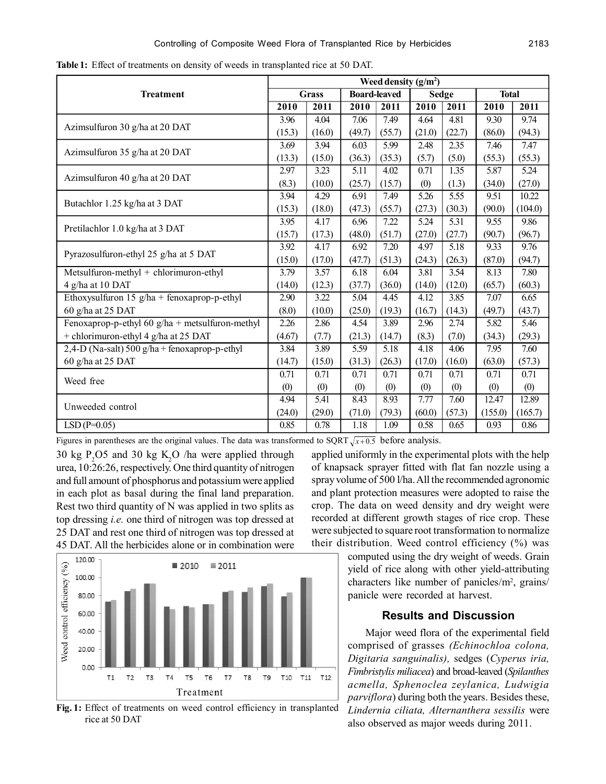|                                                   | Weed density $(g/m2)$ |              |        |                     |        |        |              |         |  |  |  |
|---------------------------------------------------|-----------------------|--------------|--------|---------------------|--------|--------|--------------|---------|--|--|--|
| <b>Treatment</b>                                  |                       | <b>Grass</b> |        | <b>Board-leaved</b> | Sedge  |        | <b>Total</b> |         |  |  |  |
|                                                   |                       | 2011         | 2010   | 2011                | 2010   | 2011   | 2010         | 2011    |  |  |  |
| Azimsulfuron 30 g/ha at 20 DAT                    | 3.96                  | 4.04         | 7.06   | 7.49                | 4.64   | 4.81   | 9.30         | 9.74    |  |  |  |
|                                                   | (15.3)                | (16.0)       | (49.7) | (55.7)              | (21.0) | (22.7) | (86.0)       | (94.3)  |  |  |  |
| Azimsulfuron 35 g/ha at 20 DAT                    | 3.69                  | 3.94         | 6.03   | 5.99                | 2.48   | 2.35   | 7.46         | 7.47    |  |  |  |
|                                                   | (13.3)                | (15.0)       | (36.3) | (35.3)              | (5.7)  | (5.0)  | (55.3)       | (55.3)  |  |  |  |
| Azimsulfuron 40 g/ha at 20 DAT                    | 2.97                  | 3.23         | 5.11   | 4.02                | 0.71   | 1.35   | 5.87         | 5.24    |  |  |  |
|                                                   | (8.3)                 | (10.0)       | (25.7) | (15.7)              | (0)    | (1.3)  | (34.0)       | (27.0)  |  |  |  |
| Butachlor 1.25 kg/ha at 3 DAT                     | 3.94                  | 4.29         | 6.91   | 7.49                | 5.26   | 5.55   | 9.51         | 10.22   |  |  |  |
|                                                   | (15.3)                | (18.0)       | (47.3) | (55.7)              | (27.3) | (30.3) | (90.0)       | (104.0) |  |  |  |
| Pretilachlor 1.0 kg/ha at 3 DAT                   | 3.95                  | 4.17         | 6.96   | 7.22                | 5.24   | 5.31   | 9.55         | 9.86    |  |  |  |
|                                                   | (15.7)                | (17.3)       | (48.0) | (51.7)              | (27.0) | (27.7) | (90.7)       | (96.7)  |  |  |  |
| Pyrazosulfuron-ethyl 25 g/ha at 5 DAT             | 3.92                  | 4.17         | 6.92   | 7.20                | 4.97   | 5.18   | 9.33         | 9.76    |  |  |  |
|                                                   | (15.0)                | (17.0)       | (47.7) | (51.3)              | (24.3) | (26.3) | (87.0)       | (94.7)  |  |  |  |
| Metsulfuron-methyl + chlorimuron-ethyl            | 3.79                  | 3.57         | 6.18   | 6.04                | 3.81   | 3.54   | 8.13         | 7.80    |  |  |  |
| 4 g/ha at 10 DAT                                  | (14.0)                | (12.3)       | (37.7) | (36.0)              | (14.0) | (12.0) | (65.7)       | (60.3)  |  |  |  |
| Ethoxysulfuron 15 $g/ha$ + fenoxaprop-p-ethyl     | 2.90                  | 3.22         | 5.04   | 4.45                | 4.12   | 3.85   | 7.07         | 6.65    |  |  |  |
| 60 g/ha at 25 DAT                                 | (8.0)                 | (10.0)       | (25.0) | (19.3)              | (16.7) | (14.3) | (49.7)       | (43.7)  |  |  |  |
| Fenoxaprop-p-ethyl 60 $g/ha$ + metsulfuron-methyl | 2.26                  | 2.86         | 4.54   | 3.89                | 2.96   | 2.74   | 5.82         | 5.46    |  |  |  |
| + chlorimuron-ethyl 4 g/ha at 25 DAT              | (4.67)                | (7.7)        | (21.3) | (14.7)              | (8.3)  | (7.0)  | (34.3)       | (29.3)  |  |  |  |
| 2,4-D (Na-salt) 500 g/ha + fenoxaprop-p-ethyl     | 3.84                  | 3.89         | 5.59   | 5.18                | 4.18   | 4.06   | 7.95         | 7.60    |  |  |  |
| 60 g/ha at 25 DAT                                 | (14.7)                | (15.0)       | (31.3) | (26.3)              | (17.0) | (16.0) | (63.0)       | (57.3)  |  |  |  |
| Weed free                                         | 0.71                  | 0.71         | 0.71   | 0.71                | 0.71   | 0.71   | 0.71         | 0.71    |  |  |  |
|                                                   | (0)                   | (0)          | (0)    | (0)                 | (0)    | (0)    | (0)          | (0)     |  |  |  |
| Unweeded control                                  | 4.94                  | 5.41         | 8.43   | 8.93                | 7.77   | 7.60   | 12.47        | 12.89   |  |  |  |
|                                                   | (24.0)                | (29.0)       | (71.0) | (79.3)              | (60.0) | (57.3) | (155.0)      | (165.7) |  |  |  |
| $LSD(P=0.05)$                                     | 0.85                  | 0.78         | 1.18   | 1.09                | 0.58   | 0.65   | 0.93         | 0.86    |  |  |  |

**Table 1:** Effect of treatments on density of weeds in transplanted rice at 50 DAT.

Figures in parentheses are the original values. The data was transformed to SQRT  $\sqrt{x+0.5}$  before analysis.

30 kg P<sub>2</sub>O5 and 30 kg K<sub>2</sub>O /ha were applied through urea, 10:26:26, respectively. One third quantity of nitrogen and full amount of phosphorus and potassium were applied in each plot as basal during the final land preparation. Rest two third quantity of N was applied in two splits as top dressing *i.e.* one third of nitrogen was top dressed at 25 DAT and rest one third of nitrogen was top dressed at 45 DAT. All the herbicides alone or in combination were





applied uniformly in the experimental plots with the help of knapsack sprayer fitted with flat fan nozzle using a spray volume of 500 l/ha. All the recommended agronomic and plant protection measures were adopted to raise the crop. The data on weed density and dry weight were recorded at different growth stages of rice crop. These were subjected to square root transformation to normalize their distribution. Weed control efficiency  $(\%)$  was

computed using the dry weight of weeds. Grain yield of rice along with other yield-attributing characters like number of panicles/m<sup>2</sup>, grains/ panicle were recorded at harvest.

## **Results and Discussion**

Major weed flora of the experimental field comprised of grasses *(Echinochloa colona, Digitaria sanguinalis),* sedges (*Cyperus iria, Fimbristylis miliacea*) and broad-leaved (*Spilanthes acmella, Sphenoclea zeylanica, Ludwigia parviflora*) during both the years. Besides these, *Lindernia ciliata, Alternanthera sessilis* were also observed as major weeds during 2011.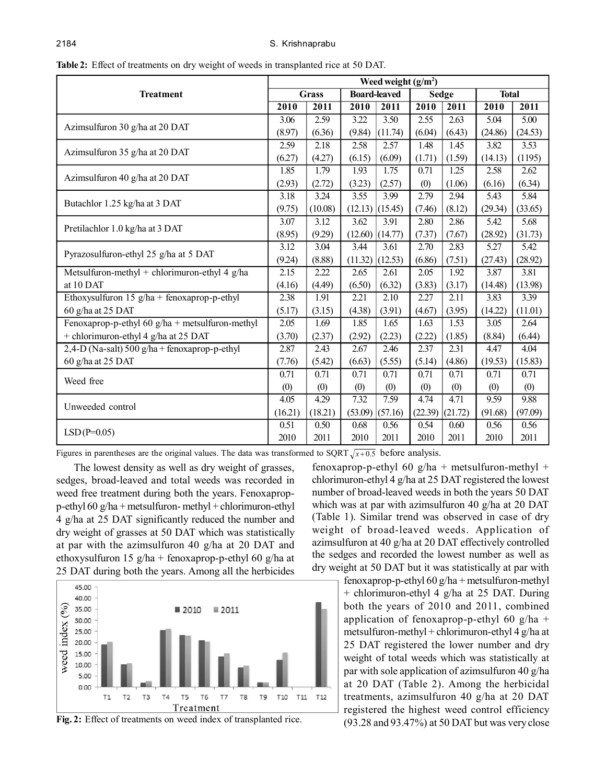|                                                   | Weed weight $(g/m2)$ |              |                     |         |              |         |              |         |  |  |  |
|---------------------------------------------------|----------------------|--------------|---------------------|---------|--------------|---------|--------------|---------|--|--|--|
| <b>Treatment</b>                                  |                      | <b>Grass</b> | <b>Board-leaved</b> |         | <b>Sedge</b> |         | <b>Total</b> |         |  |  |  |
|                                                   |                      | 2011         | 2010                | 2011    | 2010         | 2011    | 2010         | 2011    |  |  |  |
| Azimsulfuron 30 g/ha at 20 DAT                    | 3.06                 | 2.59         | 3.22                | 3.50    | 2.55         | 2.63    | 5.04         | 5.00    |  |  |  |
|                                                   | (8.97)               | (6.36)       | (9.84)              | (11.74) | (6.04)       | (6.43)  | (24.86)      | (24.53) |  |  |  |
| Azimsulfuron 35 g/ha at 20 DAT                    | 2.59                 | 2.18         | 2.58                | 2.57    | 1.48         | 1.45    | 3.82         | 3.53    |  |  |  |
|                                                   | (6.27)               | (4.27)       | (6.15)              | (6.09)  | (1.71)       | (1.59)  | (14.13)      | (1195)  |  |  |  |
| Azimsulfuron 40 g/ha at 20 DAT                    | 1.85                 | 1.79         | 1.93                | 1.75    | 0.71         | 1.25    | 2.58         | 2.62    |  |  |  |
|                                                   | (2.93)               | (2.72)       | (3.23)              | (2.57)  | (0)          | (1.06)  | (6.16)       | (6.34)  |  |  |  |
| Butachlor 1.25 kg/ha at 3 DAT                     | 3.18                 | 3.24         | 3.55                | 3.99    | 2.79         | 2.94    | 5.43         | 5.84    |  |  |  |
|                                                   | (9.75)               | (10.08)      | (12.13)             | (15.45) | (7.46)       | (8.12)  | (29.34)      | (33.65) |  |  |  |
| Pretilachlor 1.0 kg/ha at 3 DAT                   | 3.07                 | 3.12         | 3.62                | 3.91    | 2.80         | 2.86    | 5.42         | 5.68    |  |  |  |
|                                                   | (8.95)               | (9.29)       | (12.60)             | (14.77) | (7.37)       | (7.67)  | (28.92)      | (31.73) |  |  |  |
| Pyrazosulfuron-ethyl 25 g/ha at 5 DAT             | 3.12                 | 3.04         | 3.44                | 3.61    | 2.70         | 2.83    | 5.27         | 5.42    |  |  |  |
|                                                   | (9.24)               | (8.88)       | (11.32)             | (12.53) | (6.86)       | (7.51)  | (27.43)      | (28.92) |  |  |  |
| Metsulfuron-methyl + chlorimuron-ethyl 4 $g/ha$   | 2.15                 | 2.22         | 2.65                | 2.61    | 2.05         | 1.92    | 3.87         | 3.81    |  |  |  |
| at 10 DAT                                         | (4.16)               | (4.49)       | (6.50)              | (6.32)  | (3.83)       | (3.17)  | (14.48)      | (13.98) |  |  |  |
| Ethoxysulfuron $15$ g/ha + fenoxaprop-p-ethyl     | 2.38                 | 1.91         | 2.21                | 2.10    | 2.27         | 2.11    | 3.83         | 3.39    |  |  |  |
| 60 g/ha at 25 DAT                                 | (5.17)               | (3.15)       | (4.38)              | (3.91)  | (4.67)       | (3.95)  | (14.22)      | (11.01) |  |  |  |
| Fenoxaprop-p-ethyl 60 $g/ha$ + metsulfuron-methyl | 2.05                 | 1.69         | 1.85                | 1.65    | 1.63         | 1.53    | 3.05         | 2.64    |  |  |  |
| + chlorimuron-ethyl 4 g/ha at 25 DAT              | (3.70)               | (2.37)       | (2.92)              | (2.23)  | (2.22)       | (1.85)  | (8.84)       | (6.44)  |  |  |  |
| 2,4-D (Na-salt) 500 g/ha + fenoxaprop-p-ethyl     | 2.87                 | 2.43         | 2.67                | 2.46    | 2.37         | 2.31    | 4.47         | 4.04    |  |  |  |
| 60 g/ha at 25 DAT                                 | (7.76)               | (5.42)       | (6.63)              | (5.55)  | (5.14)       | (4.86)  | (19.53)      | (15.83) |  |  |  |
| Weed free                                         | 0.71                 | 0.71         | 0.71                | 0.71    | 0.71         | 0.71    | 0.71         | 0.71    |  |  |  |
|                                                   | (0)                  | (0)          | (0)                 | (0)     | (0)          | (0)     | (0)          | (0)     |  |  |  |
| Unweeded control                                  | 4.05                 | 4.29         | 7.32                | 7.59    | 4.74         | 4.71    | 9.59         | 9.88    |  |  |  |
|                                                   | (16.21)              | (18.21)      | (53.09)             | (57.16) | (22.39)      | (21.72) | (91.68)      | (97.09) |  |  |  |
| $LSD(P=0.05)$                                     | 0.51                 | 0.50         | 0.68                | 0.56    | 0.54         | 0.60    | 0.56         | 0.56    |  |  |  |
|                                                   | 2010                 | 2011         | 2010                | 2011    | 2010         | 2011    | 2010         | 2011    |  |  |  |

**Table 2:** Effect of treatments on dry weight of weeds in transplanted rice at 50 DAT.

Figures in parentheses are the original values. The data was transformed to SQRT  $\sqrt{x+0.5}$  before analysis.

The lowest density as well as dry weight of grasses, sedges, broad-leaved and total weeds was recorded in weed free treatment during both the years. Fenoxapropp-ethyl 60 g/ha + metsulfuron- methyl + chlorimuron-ethyl 4 g/ha at 25 DAT significantly reduced the number and dry weight of grasses at 50 DAT which was statistically at par with the azimsulfuron 40 g/ha at 20 DAT and ethoxysulfuron 15 g/ha + fenoxaprop-p-ethyl 60 g/ha at 25 DAT during both the years. Among all the herbicides





fenoxaprop-p-ethyl 60  $g/ha$  + metsulfuron-methyl + chlorimuron-ethyl 4 g/ha at 25 DAT registered the lowest number of broad-leaved weeds in both the years 50 DAT which was at par with azimsulfuron 40 g/ha at 20 DAT (Table 1). Similar trend was observed in case of dry weight of broad-leaved weeds. Application of azimsulfuron at 40 g/ha at 20 DAT effectively controlled the sedges and recorded the lowest number as well as dry weight at 50 DAT but it was statistically at par with

> fenoxaprop-p-ethyl 60 g/ha + metsulfuron-methyl + chlorimuron-ethyl 4 g/ha at 25 DAT. During both the years of 2010 and 2011, combined application of fenoxaprop-p-ethyl 60 g/ha + metsulfuron-methyl + chlorimuron-ethyl 4 g/ha at 25 DAT registered the lower number and dry weight of total weeds which was statistically at par with sole application of azimsulfuron 40 g/ha at 20 DAT (Table 2). Among the herbicidal treatments, azimsulfuron 40 g/ha at 20 DAT registered the highest weed control efficiency (93.28 and 93.47%) at 50 DAT but was very close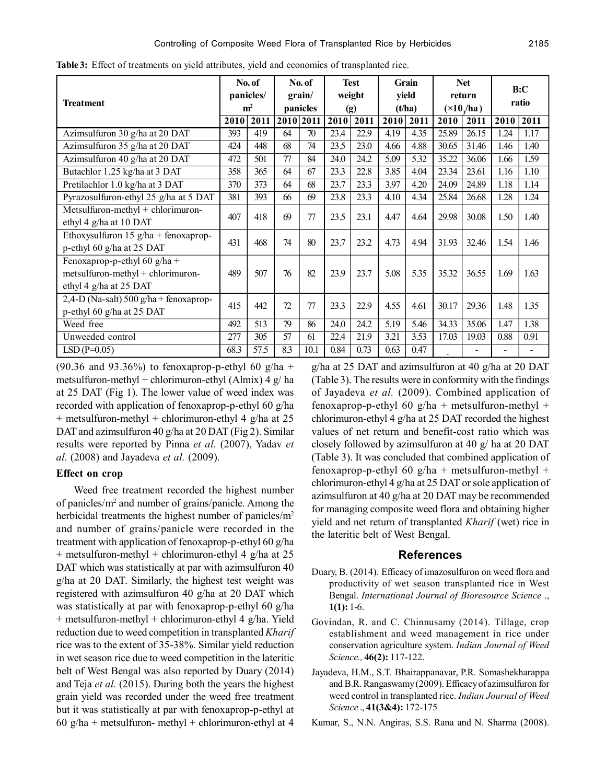|                                          |                | No. of |           | No. of |        | <b>Test</b> |        | <b>Grain</b> |                               | <b>Net</b> |       | B:C  |  |
|------------------------------------------|----------------|--------|-----------|--------|--------|-------------|--------|--------------|-------------------------------|------------|-------|------|--|
| <b>Treatment</b>                         | panicles/      |        | grain/    |        | weight |             | yield  |              | return                        |            | ratio |      |  |
|                                          | m <sup>2</sup> |        | panicles  |        | (g)    |             | (t/ha) |              | $(\times 10$ <sub>/ha</sub> ) |            |       |      |  |
|                                          | 2010           | 2011   | 2010 2011 |        | 2010   | 2011        | 2010   | 2011         | 2010                          | 2011       | 2010  | 2011 |  |
| Azimsulfuron 30 g/ha at 20 DAT           | 393            | 419    | 64        | 70     | 23.4   | 22.9        | 4.19   | 4.35         | 25.89                         | 26.15      | 1.24  | 1.17 |  |
| Azimsulfuron 35 g/ha at 20 DAT           | 424            | 448    | 68        | 74     | 23.5   | 23.0        | 4.66   | 4.88         | 30.65                         | 31.46      | 1.46  | 1.40 |  |
| Azimsulfuron 40 g/ha at 20 DAT           | 472            | 501    | 77        | 84     | 24.0   | 24.2        | 5.09   | 5.32         | 35.22                         | 36.06      | 1.66  | 1.59 |  |
| Butachlor 1.25 kg/ha at 3 DAT            | 358            | 365    | 64        | 67     | 23.3   | 22.8        | 3.85   | 4.04         | 23.34                         | 23.61      | 1.16  | 1.10 |  |
| Pretilachlor 1.0 kg/ha at 3 DAT          | 370            | 373    | 64        | 68     | 23.7   | 23.3        | 3.97   | 4.20         | 24.09                         | 24.89      | 1.18  | 1.14 |  |
| Pyrazosulfuron-ethyl 25 g/ha at 5 DAT    | 381            | 393    | 66        | 69     | 23.8   | 23.3        | 4.10   | 4.34         | 25.84                         | 26.68      | 1.28  | 1.24 |  |
| Metsulfuron-methyl + chlorimuron-        | 407            | 418    | 69        | 77     | 23.5   | 23.1        | 4.47   | 4.64         | 29.98                         | 30.08      | 1.50  | 1.40 |  |
| ethyl 4 g/ha at 10 DAT                   |                |        |           |        |        |             |        |              |                               |            |       |      |  |
| Ethoxysulfuron $15$ g/ha + fenoxaprop-   | 431            | 468    | 74        | 80     | 23.7   | 23.2        | 4.73   | 4.94         | 31.93                         | 32.46      | 1.54  | 1.46 |  |
| p-ethyl 60 g/ha at 25 DAT                |                |        |           |        |        |             |        |              |                               |            |       |      |  |
| Fenoxaprop-p-ethyl 60 $g/ha$ +           |                |        |           |        |        |             |        |              |                               |            |       |      |  |
| $metsulfuron-methyl + chlorimuron-$      | 489            | 507    | 76        | 82     | 23.9   | 23.7        | 5.08   | 5.35         | 35.32                         | 36.55      | 1.69  | 1.63 |  |
| ethyl 4 g/ha at 25 DAT                   |                |        |           |        |        |             |        |              |                               |            |       |      |  |
| 2,4-D (Na-salt) $500$ g/ha + fenoxaprop- | 415            | 442    | 72        | 77     | 23.3   | 22.9        | 4.55   | 4.61         | 30.17                         | 29.36      | 1.48  | 1.35 |  |
| p-ethyl 60 g/ha at 25 DAT                |                |        |           |        |        |             |        |              |                               |            |       |      |  |
| Weed free                                | 492            | 513    | 79        | 86     | 24.0   | 24.2        | 5.19   | 5.46         | 34.33                         | 35.06      | 1.47  | 1.38 |  |
| Unweeded control                         | 277            | 305    | 57        | 61     | 22.4   | 21.9        | 3.21   | 3.53         | 17.03                         | 19.03      | 0.88  | 0.91 |  |
| $LSD(P=0.05)$                            | 68.3           | 57.5   | 8.3       | 10.1   | 0.84   | 0.73        | 0.63   | 0.47         |                               |            |       |      |  |

**Table 3:** Effect of treatments on yield attributes, yield and economics of transplanted rice.

(90.36 and 93.36%) to fenoxaprop-p-ethyl 60 g/ha + metsulfuron-methyl + chlorimuron-ethyl (Almix)  $4 \frac{g}{h}$  ha at 25 DAT (Fig 1). The lower value of weed index was recorded with application of fenoxaprop-p-ethyl 60 g/ha + metsulfuron-methyl + chlorimuron-ethyl 4 g/ha at 25 DAT and azimsulfuron 40 g/ha at 20 DAT (Fig 2). Similar results were reported by Pinna *et al.* (2007), Yadav *et al.* (2008) and Jayadeva *et al.* (2009).

#### **Effect on crop**

Weed free treatment recorded the highest number of panicles/m<sup>2</sup> and number of grains/panicle. Among the herbicidal treatments the highest number of panicles/m<sup>2</sup> and number of grains/panicle were recorded in the treatment with application of fenoxaprop-p-ethyl 60 g/ha + metsulfuron-methyl + chlorimuron-ethyl 4 g/ha at 25 DAT which was statistically at par with azimsulfuron 40 g/ha at 20 DAT. Similarly, the highest test weight was registered with azimsulfuron 40 g/ha at 20 DAT which was statistically at par with fenoxaprop-p-ethyl 60 g/ha + metsulfuron-methyl + chlorimuron-ethyl 4 g/ha. Yield reduction due to weed competition in transplanted *Kharif* rice was to the extent of 35-38%. Similar yield reduction in wet season rice due to weed competition in the lateritic belt of West Bengal was also reported by Duary (2014) and Teja *et al.* (2015). During both the years the highest grain yield was recorded under the weed free treatment but it was statistically at par with fenoxaprop-p-ethyl at 60 g/ha + metsulfuron- methyl + chlorimuron-ethyl at 4

g/ha at 25 DAT and azimsulfuron at 40 g/ha at 20 DAT (Table 3). The results were in conformity with the findings of Jayadeva *et al.* (2009). Combined application of fenoxaprop-p-ethyl 60  $g/ha$  + metsulfuron-methyl + chlorimuron-ethyl 4 g/ha at 25 DAT recorded the highest values of net return and benefit-cost ratio which was closely followed by azimsulfuron at 40 g/ ha at 20 DAT (Table 3). It was concluded that combined application of fenoxaprop-p-ethyl 60  $g/ha$  + metsulfuron-methyl + chlorimuron-ethyl 4 g/ha at 25 DAT or sole application of azimsulfuron at 40 g/ha at 20 DAT may be recommended for managing composite weed flora and obtaining higher yield and net return of transplanted *Kharif* (wet) rice in the lateritic belt of West Bengal.

#### **References**

- Duary, B. (2014). Efficacy of imazosulfuron on weed flora and productivity of wet season transplanted rice in West Bengal. *International Journal of Bioresource Science* ., **1(1):** 1-6.
- Govindan, R. and C. Chinnusamy (2014). Tillage, crop establishment and weed management in rice under conservation agriculture system. *Indian Journal of Weed Science.,* **46(2):** 117-122.
- Jayadeva, H.M., S.T. Bhairappanavar, P.R. Somashekharappa and B.R. Rangaswamy (2009). Efficacy of azimsulfuron for weed control in transplanted rice. *Indian Journal of Weed Science* ., **41(3&4):** 172-175
- Kumar, S., N.N. Angiras, S.S. Rana and N. Sharma (2008).